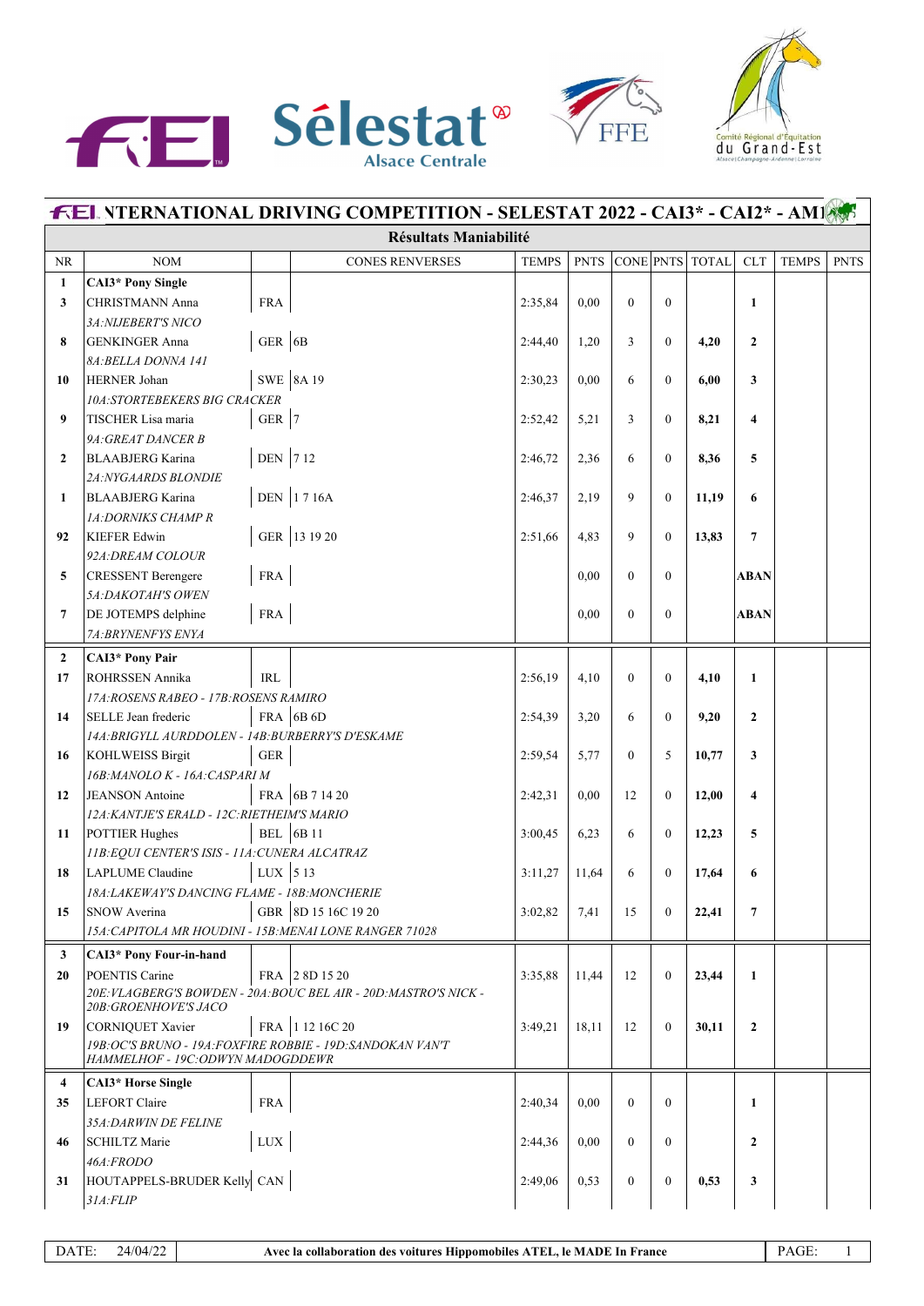





| <b>FEL NTERNATIONAL DRIVING COMPETITION - SELESTAT 2022 - CAI3* - CAI2* - AMIAST</b> |                                                                                 |                        |                                                                   |              |             |                  |                  |                 |                         |              |             |  |  |
|--------------------------------------------------------------------------------------|---------------------------------------------------------------------------------|------------------------|-------------------------------------------------------------------|--------------|-------------|------------------|------------------|-----------------|-------------------------|--------------|-------------|--|--|
|                                                                                      | <b>Résultats Maniabilité</b>                                                    |                        |                                                                   |              |             |                  |                  |                 |                         |              |             |  |  |
| NR                                                                                   | NOM                                                                             |                        | <b>CONES RENVERSES</b>                                            | <b>TEMPS</b> | <b>PNTS</b> |                  |                  | CONE PNTS TOTAL | <b>CLT</b>              | <b>TEMPS</b> | <b>PNTS</b> |  |  |
| $\mathbf{1}$                                                                         | <b>CAI3*</b> Pony Single                                                        |                        |                                                                   |              |             |                  |                  |                 |                         |              |             |  |  |
| 3                                                                                    | CHRISTMANN Anna                                                                 | <b>FRA</b>             |                                                                   | 2:35,84      | 0,00        | $\theta$         | $\mathbf{0}$     |                 | $\mathbf{1}$            |              |             |  |  |
|                                                                                      | 3A: NIJEBERT'S NICO                                                             |                        |                                                                   |              |             |                  |                  |                 |                         |              |             |  |  |
| 8                                                                                    | <b>GENKINGER Anna</b>                                                           | GER 6B                 |                                                                   | 2:44,40      | 1,20        | 3                | $\mathbf{0}$     | 4,20            | $\overline{2}$          |              |             |  |  |
|                                                                                      | 8A: BELLA DONNA 141                                                             |                        |                                                                   |              |             |                  |                  |                 |                         |              |             |  |  |
| 10                                                                                   | <b>HERNER Johan</b>                                                             |                        | SWE 8A 19                                                         | 2:30,23      | 0,00        | 6                | $\mathbf{0}$     | 6,00            | 3                       |              |             |  |  |
|                                                                                      | 10A:STORTEBEKERS BIG CRACKER                                                    |                        |                                                                   |              |             |                  |                  |                 |                         |              |             |  |  |
| 9                                                                                    | TISCHER Lisa maria                                                              | GER $ 7$               |                                                                   | 2:52,42      | 5,21        | 3                | $\Omega$         | 8,21            | $\overline{\mathbf{4}}$ |              |             |  |  |
|                                                                                      | 9A: GREAT DANCER B                                                              |                        |                                                                   |              |             |                  |                  |                 |                         |              |             |  |  |
| $\overline{2}$                                                                       | <b>BLAABJERG Karina</b>                                                         | DEN 712                |                                                                   | 2:46,72      | 2,36        | 6                | $\mathbf{0}$     | 8,36            | 5                       |              |             |  |  |
|                                                                                      | <b>2A:NYGAARDS BLONDIE</b>                                                      |                        |                                                                   |              |             |                  |                  |                 |                         |              |             |  |  |
| 1                                                                                    | <b>BLAABJERG Karina</b>                                                         |                        | DEN 1716A                                                         | 2:46,37      | 2,19        | 9                | $\mathbf{0}$     | 11,19           | 6                       |              |             |  |  |
|                                                                                      | <b>1A:DORNIKS CHAMP R</b>                                                       |                        | GER 13 19 20                                                      |              |             |                  |                  |                 |                         |              |             |  |  |
| 92                                                                                   | <b>KIEFER Edwin</b><br>92A: DREAM COLOUR                                        |                        |                                                                   | 2:51,66      | 4,83        | 9                | $\Omega$         | 13,83           | $\overline{7}$          |              |             |  |  |
| 5                                                                                    | <b>CRESSENT</b> Berengere                                                       | <b>FRA</b>             |                                                                   |              | 0,00        | $\theta$         | $\mathbf{0}$     |                 | <b>ABAN</b>             |              |             |  |  |
|                                                                                      | <b>5A:DAKOTAH'S OWEN</b>                                                        |                        |                                                                   |              |             |                  |                  |                 |                         |              |             |  |  |
| 7                                                                                    | DE JOTEMPS delphine                                                             | ${\rm FRA}$            |                                                                   |              | 0,00        | $\theta$         | $\mathbf{0}$     |                 | <b>ABAN</b>             |              |             |  |  |
|                                                                                      | 7A: BRYNENFYS ENYA                                                              |                        |                                                                   |              |             |                  |                  |                 |                         |              |             |  |  |
| $\overline{2}$                                                                       | <b>CAI3*</b> Pony Pair                                                          |                        |                                                                   |              |             |                  |                  |                 |                         |              |             |  |  |
| 17                                                                                   | <b>ROHRSSEN Annika</b>                                                          | <b>IRL</b>             |                                                                   | 2:56,19      | 4,10        | $\theta$         | $\mathbf{0}$     | 4,10            | $\mathbf{1}$            |              |             |  |  |
|                                                                                      | 17A: ROSENS RABEO - 17B: ROSENS RAMIRO                                          |                        |                                                                   |              |             |                  |                  |                 |                         |              |             |  |  |
| 14                                                                                   | SELLE Jean frederic                                                             |                        | FRA 6B $6D$                                                       | 2:54,39      | 3,20        | 6                | $\mathbf{0}$     | 9,20            | $\mathbf{2}$            |              |             |  |  |
|                                                                                      | 14A: BRIGYLL AURDDOLEN - 14B: BURBERRY'S D'ESKAME                               |                        |                                                                   |              |             |                  |                  |                 |                         |              |             |  |  |
| 16                                                                                   | KOHLWEISS Birgit                                                                | ${\tt GER}$            |                                                                   | 2:59,54      | 5,77        | $\theta$         | 5                | 10,77           | 3                       |              |             |  |  |
|                                                                                      | 16B: MANOLO K - 16A: CASPARI M                                                  |                        |                                                                   |              |             |                  |                  |                 |                         |              |             |  |  |
| 12                                                                                   | JEANSON Antoine                                                                 |                        | FRA 6B 7 14 20                                                    | 2:42,31      | 0,00        | 12               | $\mathbf{0}$     | 12,00           | 4                       |              |             |  |  |
|                                                                                      | 12A: KANTJE'S ERALD - 12C: RIETHEIM'S MARIO                                     |                        |                                                                   |              |             |                  |                  |                 |                         |              |             |  |  |
| 11                                                                                   | POTTIER Hughes                                                                  |                        | BEL $ 6B11$                                                       | 3:00,45      | 6,23        | 6                | $\mathbf{0}$     | 12,23           | 5                       |              |             |  |  |
|                                                                                      | 11B: EQUI CENTER'S ISIS - 11A: CUNERA ALCATRAZ                                  |                        |                                                                   |              |             |                  |                  |                 |                         |              |             |  |  |
| 18                                                                                   | LAPLUME Claudine                                                                | LUX $\vert$ 5 13       |                                                                   | 3:11,27      | 11,64       | 6                | $\mathbf{0}$     | 17,64           | 6                       |              |             |  |  |
|                                                                                      | 18A: LAKEWAY'S DANCING FLAME - 18B: MONCHERIE                                   |                        |                                                                   |              |             |                  |                  |                 |                         |              |             |  |  |
| 15                                                                                   | <b>SNOW Averina</b>                                                             |                        | GBR 8D 15 16C 19 20                                               | 3:02,82      | 7,41        | 15               | $\mathbf{0}$     | 22,41           | 7                       |              |             |  |  |
|                                                                                      | 15A: CAPITOLA MR HOUDINI - 15B: MENAI LONE RANGER 71028                         |                        |                                                                   |              |             |                  |                  |                 |                         |              |             |  |  |
| 3                                                                                    | CAI3* Pony Four-in-hand                                                         |                        |                                                                   |              |             |                  |                  |                 |                         |              |             |  |  |
| 20                                                                                   | POENTIS Carine                                                                  |                        | FRA 28D 15 20                                                     | 3:35,88      | 11,44       | 12               | $\theta$         | 23,44           | 1                       |              |             |  |  |
|                                                                                      |                                                                                 |                        | 20E: VLAGBERG'S BOWDEN - 20A: BOUC BEL AIR - 20D: MASTRO'S NICK - |              |             |                  |                  |                 |                         |              |             |  |  |
|                                                                                      | 20B: GROENHOVE'S JACO                                                           |                        |                                                                   |              |             |                  |                  |                 |                         |              |             |  |  |
| 19                                                                                   | CORNIQUET Xavier<br>19B: OC'S BRUNO - 19A: FOXFIRE ROBBIE - 19D: SANDOKAN VAN'T |                        | FRA 1 12 16C 20                                                   | 3:49,21      | 18,11       | 12               | $\mathbf{0}$     | 30,11           | $\mathbf{2}$            |              |             |  |  |
|                                                                                      | HAMMELHOF - 19C: ODWYN MADOGDDEWR                                               |                        |                                                                   |              |             |                  |                  |                 |                         |              |             |  |  |
| 4                                                                                    | <b>CAI3*</b> Horse Single                                                       |                        |                                                                   |              |             |                  |                  |                 |                         |              |             |  |  |
| 35                                                                                   | LEFORT Claire                                                                   | <b>FRA</b>             |                                                                   | 2:40,34      | 0.00        | $\theta$         | $\Omega$         |                 | $\mathbf{1}$            |              |             |  |  |
|                                                                                      | 35A: DARWIN DE FELINE                                                           |                        |                                                                   |              |             |                  |                  |                 |                         |              |             |  |  |
| 46                                                                                   | SCHILTZ Marie                                                                   | $_{\mbox{\text{LUX}}}$ |                                                                   | 2:44,36      | 0.00        | $\left( \right)$ | $\overline{0}$   |                 | $\mathbf{2}$            |              |             |  |  |
|                                                                                      | 46A:FRODO                                                                       |                        |                                                                   |              |             |                  |                  |                 |                         |              |             |  |  |
| 31                                                                                   | HOUTAPPELS-BRUDER Kelly CAN                                                     |                        |                                                                   | 2:49,06      | 0,53        | $\overline{0}$   | $\boldsymbol{0}$ | 0,53            | 3                       |              |             |  |  |
|                                                                                      | 31A:FLIP                                                                        |                        |                                                                   |              |             |                  |                  |                 |                         |              |             |  |  |
|                                                                                      |                                                                                 |                        |                                                                   |              |             |                  |                  |                 |                         |              |             |  |  |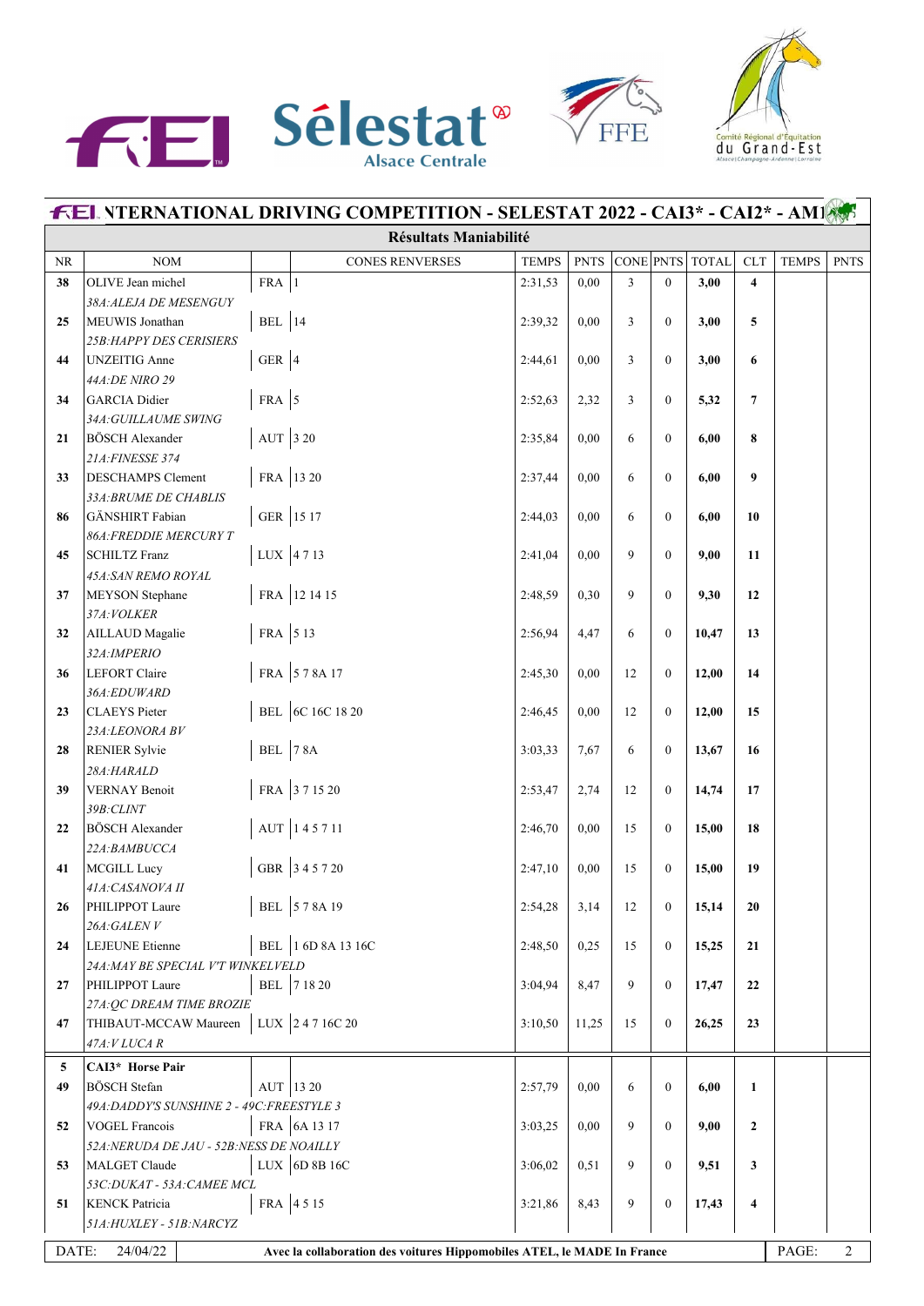





|    | <b>FEL NTERNATIONAL DRIVING COMPETITION - SELESTAT 2022 - CAI3* - CAI2* - AM145</b>                                     |                    |                        |              |             |           |                  |              |                         |              |             |  |
|----|-------------------------------------------------------------------------------------------------------------------------|--------------------|------------------------|--------------|-------------|-----------|------------------|--------------|-------------------------|--------------|-------------|--|
|    | <b>Résultats Maniabilité</b>                                                                                            |                    |                        |              |             |           |                  |              |                         |              |             |  |
| NR | NOM                                                                                                                     |                    | <b>CONES RENVERSES</b> | <b>TEMPS</b> | <b>PNTS</b> | CONE PNTS |                  | <b>TOTAL</b> | ${\rm CLT}$             | <b>TEMPS</b> | <b>PNTS</b> |  |
| 38 | OLIVE Jean michel                                                                                                       | $FRA$ <sup>1</sup> |                        | 2:31,53      | 0.00        | 3         | $\mathbf{0}$     | 3,00         | $\overline{\mathbf{4}}$ |              |             |  |
|    | 38A: ALEJA DE MESENGUY                                                                                                  |                    |                        |              |             |           |                  |              |                         |              |             |  |
| 25 | MEUWIS Jonathan                                                                                                         | BEL $ 14$          |                        | 2:39,32      | 0,00        | 3         | $\mathbf{0}$     | 3,00         | 5                       |              |             |  |
|    | <b>25B: HAPPY DES CERISIERS</b>                                                                                         |                    |                        |              |             |           |                  |              |                         |              |             |  |
| 44 | <b>UNZEITIG</b> Anne                                                                                                    | GER $ 4$           |                        | 2:44,61      | 0,00        | 3         | $\mathbf{0}$     | 3,00         | 6                       |              |             |  |
|    | 44A:DE NIRO 29                                                                                                          |                    |                        |              |             |           |                  |              |                         |              |             |  |
| 34 | GARCIA Didier                                                                                                           | FRA $\vert$ 5      |                        | 2:52,63      | 2,32        | 3         | $\mathbf{0}$     | 5,32         | $\overline{7}$          |              |             |  |
|    | 34A: GUILLAUME SWING                                                                                                    |                    |                        |              |             |           |                  |              |                         |              |             |  |
| 21 | <b>BÖSCH Alexander</b><br>21A: FINESSE 374                                                                              | AUT 3 20           |                        | 2:35,84      | 0,00        | 6         | $\boldsymbol{0}$ | 6,00         | 8                       |              |             |  |
| 33 | <b>DESCHAMPS</b> Clement                                                                                                |                    | FRA 13 20              | 2:37,44      | 0,00        | 6         | $\boldsymbol{0}$ | 6,00         | 9                       |              |             |  |
|    | 33A: BRUME DE CHABLIS                                                                                                   |                    |                        |              |             |           |                  |              |                         |              |             |  |
| 86 | GÄNSHIRT Fabian                                                                                                         |                    | GER 15 17              | 2:44,03      | 0.00        | 6         | $\mathbf{0}$     | 6,00         | 10                      |              |             |  |
|    | <b>86A: FREDDIE MERCURY T</b>                                                                                           |                    |                        |              |             |           |                  |              |                         |              |             |  |
| 45 | <b>SCHILTZ Franz</b>                                                                                                    |                    | LUX 4713               | 2:41,04      | 0,00        | 9         | $\mathbf{0}$     | 9,00         | 11                      |              |             |  |
|    | 45A: SAN REMO ROYAL                                                                                                     |                    |                        |              |             |           |                  |              |                         |              |             |  |
| 37 | MEYSON Stephane                                                                                                         |                    | FRA 12 14 15           | 2:48,59      | 0,30        | 9         | $\mathbf{0}$     | 9,30         | 12                      |              |             |  |
|    | 37A: VOLKER                                                                                                             |                    |                        |              |             |           |                  |              |                         |              |             |  |
| 32 | AILLAUD Magalie                                                                                                         | FRA 513            |                        | 2:56,94      | 4,47        | 6         | $\boldsymbol{0}$ | 10,47        | 13                      |              |             |  |
|    | 32A: IMPERIO                                                                                                            |                    |                        |              |             |           |                  |              |                         |              |             |  |
| 36 | LEFORT Claire                                                                                                           |                    | FRA 578A17             | 2:45,30      | 0,00        | 12        | $\boldsymbol{0}$ | 12,00        | 14                      |              |             |  |
|    | 36A:EDUWARD                                                                                                             |                    |                        |              |             |           |                  |              |                         |              |             |  |
| 23 | CLAEYS Pieter                                                                                                           |                    | BEL 6C 16C 18 20       | 2:46,45      | 0.00        | 12        | $\mathbf{0}$     | 12,00        | 15                      |              |             |  |
|    | 23A:LEONORA BV                                                                                                          |                    |                        |              |             |           |                  |              |                         |              |             |  |
| 28 | <b>RENIER Sylvie</b>                                                                                                    | <b>BEL</b> 78A     |                        | 3:03,33      | 7,67        | 6         | $\boldsymbol{0}$ | 13,67        | 16                      |              |             |  |
|    | 28A:HARALD                                                                                                              |                    |                        |              |             |           |                  |              |                         |              |             |  |
| 39 | <b>VERNAY Benoit</b>                                                                                                    |                    | FRA 371520             | 2:53,47      | 2,74        | 12        | $\boldsymbol{0}$ | 14,74        | 17                      |              |             |  |
|    | 39B: CLINT                                                                                                              |                    |                        |              |             |           |                  |              |                         |              |             |  |
| 22 | <b>BÖSCH Alexander</b>                                                                                                  |                    | AUT 145711             | 2:46,70      | 0,00        | 15        | $\boldsymbol{0}$ | 15,00        | 18                      |              |             |  |
|    | 22A:BAMBUCCA                                                                                                            |                    | GBR 345720             |              |             |           |                  |              |                         |              |             |  |
| 41 | MCGILL Lucy<br>41A: CASANOVA II                                                                                         |                    |                        | 2:47,10      | 0,00        | 15        | $\boldsymbol{0}$ | 15,00        | 19                      |              |             |  |
| 26 | PHILIPPOT Laure                                                                                                         |                    | BEL 578A 19            | 2:54,28      | 3,14        | 12        | $\boldsymbol{0}$ | 15,14        | 20                      |              |             |  |
|    | 26A:GALENV                                                                                                              |                    |                        |              |             |           |                  |              |                         |              |             |  |
| 24 | LEJEUNE Etienne                                                                                                         |                    | BEL 1 6D 8A 13 16C     | 2:48,50      | 0,25        | 15        | $\mathbf{0}$     | 15,25        | 21                      |              |             |  |
|    | 24A: MAY BE SPECIAL V'T WINKELVELD                                                                                      |                    |                        |              |             |           |                  |              |                         |              |             |  |
| 27 | PHILIPPOT Laure                                                                                                         |                    | BEL 7 18 20            | 3:04,94      | 8,47        | 9         | $\mathbf{0}$     | 17,47        | 22                      |              |             |  |
|    | 27A: QC DREAM TIME BROZIE                                                                                               |                    |                        |              |             |           |                  |              |                         |              |             |  |
| 47 | THIBAUT-MCCAW Maureen                                                                                                   |                    | LUX 24716C20           | 3:10,50      | 11,25       | 15        | $\mathbf{0}$     | 26,25        | 23                      |              |             |  |
|    | 47A: V LUCA R                                                                                                           |                    |                        |              |             |           |                  |              |                         |              |             |  |
| 5  | CAI3* Horse Pair                                                                                                        |                    |                        |              |             |           |                  |              |                         |              |             |  |
| 49 | <b>BÖSCH</b> Stefan                                                                                                     |                    | AUT 13 20              | 2:57,79      | 0,00        | 6         | $\boldsymbol{0}$ | 6,00         | $\mathbf{1}$            |              |             |  |
|    | 49A: DADDY'S SUNSHINE 2 - 49C: FREESTYLE 3                                                                              |                    |                        |              |             |           |                  |              |                         |              |             |  |
| 52 | <b>VOGEL Francois</b>                                                                                                   |                    | FRA 6A 13 17           | 3:03,25      | 0,00        | 9         | $\boldsymbol{0}$ | 9,00         | $\overline{2}$          |              |             |  |
|    | 52A: NERUDA DE JAU - 52B: NESS DE NOAILLY                                                                               |                    |                        |              |             |           |                  |              |                         |              |             |  |
| 53 | MALGET Claude                                                                                                           |                    | LUX $6D8B16C$          | 3:06,02      | 0,51        | 9         | $\boldsymbol{0}$ | 9,51         | 3                       |              |             |  |
|    | 53C: DUKAT - 53A: CAMEE MCL                                                                                             |                    |                        |              |             |           |                  |              |                         |              |             |  |
| 51 | <b>KENCK</b> Patricia                                                                                                   |                    | FRA 4515               | 3:21,86      | 8,43        | 9         | $\boldsymbol{0}$ | 17,43        | $\overline{\mathbf{4}}$ |              |             |  |
|    | 51A: HUXLEY - 51B: NARCYZ                                                                                               |                    |                        |              |             |           |                  |              |                         |              |             |  |
|    | PAGE:<br>DATE:<br>24/04/22<br>$\overline{2}$<br>Avec la collaboration des voitures Hippomobiles ATEL, le MADE In France |                    |                        |              |             |           |                  |              |                         |              |             |  |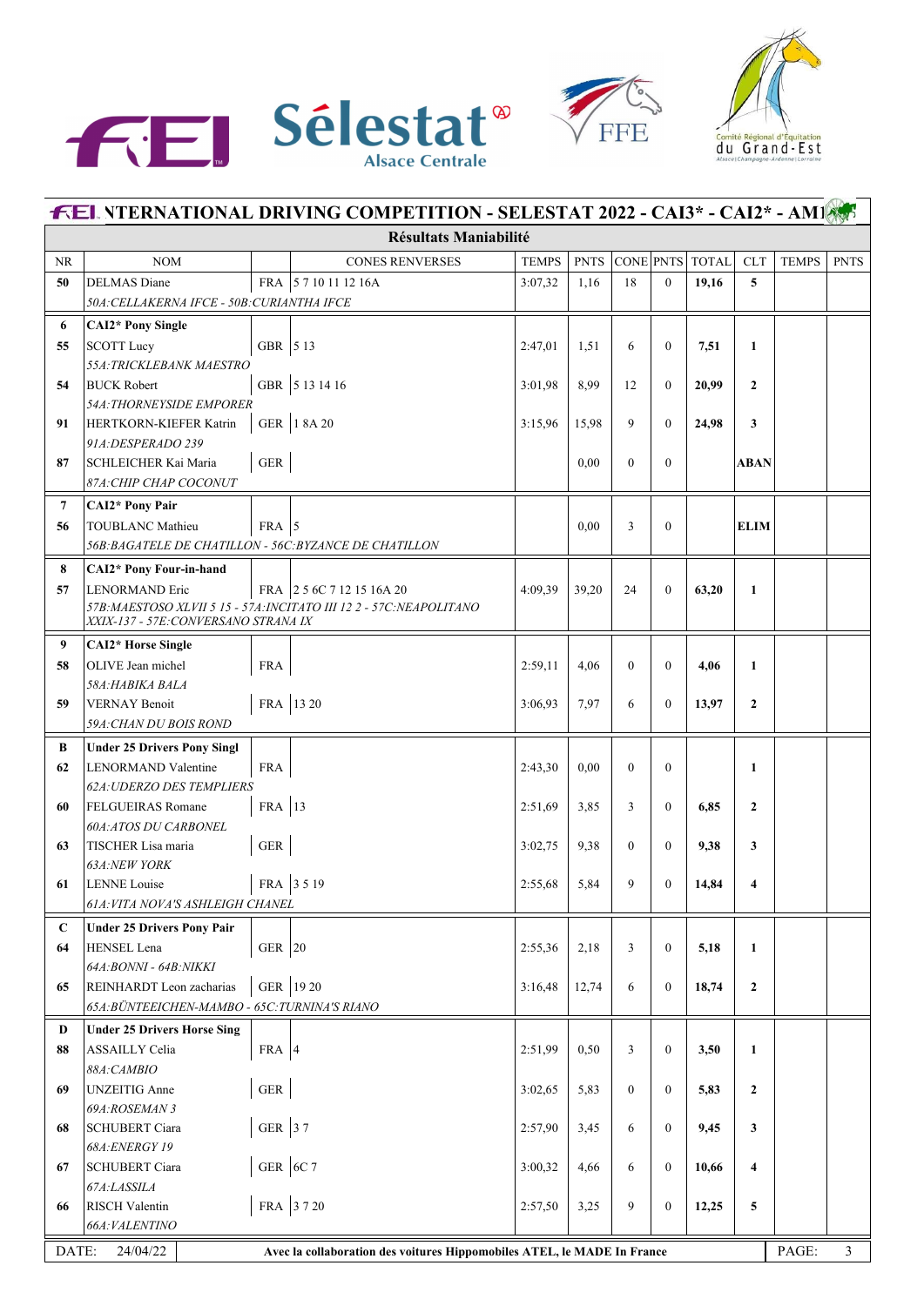





| <b>FEL NTERNATIONAL DRIVING COMPETITION - SELESTAT 2022 - CAI3* - CAI2* - AM1</b>                     |                                                              |             |                                                                     |              |             |                |                  |                 |                         |              |             |  |
|-------------------------------------------------------------------------------------------------------|--------------------------------------------------------------|-------------|---------------------------------------------------------------------|--------------|-------------|----------------|------------------|-----------------|-------------------------|--------------|-------------|--|
|                                                                                                       |                                                              |             | <b>Résultats Maniabilité</b>                                        |              |             |                |                  |                 |                         |              |             |  |
| <b>NR</b>                                                                                             | <b>NOM</b>                                                   |             | <b>CONES RENVERSES</b>                                              | <b>TEMPS</b> | <b>PNTS</b> |                |                  | CONE PNTS TOTAL | ${\rm CLT}$             | <b>TEMPS</b> | <b>PNTS</b> |  |
| 50                                                                                                    | <b>DELMAS</b> Diane                                          |             | FRA 5710111216A                                                     | 3:07,32      | 1,16        | 18             | $\mathbf{0}$     | 19,16           | 5                       |              |             |  |
|                                                                                                       | 50A: CELLAKERNA IFCE - 50B: CURIANTHA IFCE                   |             |                                                                     |              |             |                |                  |                 |                         |              |             |  |
| 6                                                                                                     | <b>CAI2*</b> Pony Single                                     |             |                                                                     |              |             |                |                  |                 |                         |              |             |  |
| 55                                                                                                    | SCOTT Lucy                                                   | GBR 5 13    |                                                                     | 2:47,01      | 1,51        | 6              | $\boldsymbol{0}$ | 7,51            | $\mathbf{1}$            |              |             |  |
|                                                                                                       | 55A: TRICKLEBANK MAESTRO                                     |             |                                                                     |              |             |                |                  |                 |                         |              |             |  |
| 54                                                                                                    | <b>BUCK Robert</b>                                           |             | GBR 5 13 14 16                                                      | 3:01.98      | 8,99        | 12             | $\mathbf{0}$     | 20,99           | $\mathbf{2}$            |              |             |  |
|                                                                                                       | <b>54A: THORNEYSIDE EMPORER</b>                              |             |                                                                     |              |             |                |                  |                 |                         |              |             |  |
| 91                                                                                                    | HERTKORN-KIEFER Katrin                                       |             | GER 18A 20                                                          | 3:15,96      | 15,98       | 9              | $\mathbf{0}$     | 24,98           | 3                       |              |             |  |
|                                                                                                       | 91A: DESPERADO 239                                           |             |                                                                     |              |             |                |                  |                 |                         |              |             |  |
| 87                                                                                                    | SCHLEICHER Kai Maria                                         | ${\tt GER}$ |                                                                     |              | 0,00        | $\theta$       | $\boldsymbol{0}$ |                 | ABAN                    |              |             |  |
|                                                                                                       | 87A: CHIP CHAP COCONUT                                       |             |                                                                     |              |             |                |                  |                 |                         |              |             |  |
| $\overline{7}$                                                                                        | <b>CAI2*</b> Pony Pair                                       |             |                                                                     |              |             |                |                  |                 |                         |              |             |  |
| 56                                                                                                    | <b>TOUBLANC Mathieu</b>                                      | $FRA$ 5     |                                                                     |              | 0,00        | 3              | $\mathbf{0}$     |                 | <b>ELIM</b>             |              |             |  |
|                                                                                                       | 56B: BAGATELE DE CHATILLON - 56C: BYZANCE DE CHATILLON       |             |                                                                     |              |             |                |                  |                 |                         |              |             |  |
| 8                                                                                                     | CAI2* Pony Four-in-hand                                      |             |                                                                     |              |             |                |                  |                 |                         |              |             |  |
| 57                                                                                                    | LENORMAND Eric                                               |             | FRA 25 6C 7 12 15 16A 20                                            | 4:09.39      | 39,20       | 24             | $\mathbf{0}$     | 63,20           | $\mathbf{1}$            |              |             |  |
|                                                                                                       |                                                              |             | 57B: MAESTOSO XLVII 5 15 - 57A: INCITATO III 122 - 57C: NEAPOLITANO |              |             |                |                  |                 |                         |              |             |  |
|                                                                                                       | XXIX-137 - 57E: CONVERSANO STRANA IX                         |             |                                                                     |              |             |                |                  |                 |                         |              |             |  |
| 9                                                                                                     | <b>CAI2*</b> Horse Single                                    |             |                                                                     |              |             |                |                  |                 |                         |              |             |  |
| 58                                                                                                    | OLIVE Jean michel                                            | <b>FRA</b>  |                                                                     | 2:59,11      | 4,06        | $\overline{0}$ | $\mathbf{0}$     | 4,06            | 1                       |              |             |  |
|                                                                                                       | 58A: HABIKA BALA                                             |             |                                                                     |              |             |                |                  |                 |                         |              |             |  |
| 59                                                                                                    | VERNAY Benoit                                                |             | FRA 13 20                                                           | 3:06,93      | 7,97        | 6              | $\mathbf{0}$     | 13,97           | $\mathbf{2}$            |              |             |  |
|                                                                                                       | 59A: CHAN DU BOIS ROND                                       |             |                                                                     |              |             |                |                  |                 |                         |              |             |  |
| В                                                                                                     | <b>Under 25 Drivers Pony Singl</b>                           |             |                                                                     |              |             |                |                  |                 |                         |              |             |  |
| 62                                                                                                    | LENORMAND Valentine                                          | <b>FRA</b>  |                                                                     | 2:43,30      | 0,00        | $\mathbf{0}$   | $\mathbf{0}$     |                 | $\mathbf{1}$            |              |             |  |
| 60                                                                                                    | <b>62A: UDERZO DES TEMPLIERS</b><br><b>FELGUEIRAS Romane</b> | FRA 13      |                                                                     | 2:51,69      | 3,85        | 3              | $\mathbf{0}$     | 6,85            | $\mathbf{2}$            |              |             |  |
|                                                                                                       | <b>60A:ATOS DU CARBONEL</b>                                  |             |                                                                     |              |             |                |                  |                 |                         |              |             |  |
| 63                                                                                                    | TISCHER Lisa maria                                           | ${\tt GER}$ |                                                                     | 3:02,75      | 9,38        | $\theta$       | $\mathbf{0}$     | 9,38            | 3                       |              |             |  |
|                                                                                                       | <b>63A:NEW YORK</b>                                          |             |                                                                     |              |             |                |                  |                 |                         |              |             |  |
| 61                                                                                                    | <b>LENNE</b> Louise                                          |             | FRA 3519                                                            | 2:55.68      | 5,84        | 9              | $\mathbf{0}$     | 14,84           | $\overline{\mathbf{4}}$ |              |             |  |
|                                                                                                       | 61A: VITA NOVA'S ASHLEIGH CHANEL                             |             |                                                                     |              |             |                |                  |                 |                         |              |             |  |
| $\mathbf C$                                                                                           | <b>Under 25 Drivers Pony Pair</b>                            |             |                                                                     |              |             |                |                  |                 |                         |              |             |  |
| 64                                                                                                    | HENSEL Lena                                                  | GER 20      |                                                                     | 2:55,36      | 2,18        | 3              | $\boldsymbol{0}$ | 5,18            | $\mathbf{1}$            |              |             |  |
|                                                                                                       | 64A:BONNI - 64B:NIKKI                                        |             |                                                                     |              |             |                |                  |                 |                         |              |             |  |
| 65                                                                                                    | REINHARDT Leon zacharias                                     |             | GER 19 20                                                           | 3:16,48      | 12,74       | 6              | $\boldsymbol{0}$ | 18,74           | $\mathbf{2}$            |              |             |  |
|                                                                                                       | 65A: BÜNTEEICHEN-MAMBO - 65C: TURNINA'S RIANO                |             |                                                                     |              |             |                |                  |                 |                         |              |             |  |
| D                                                                                                     | <b>Under 25 Drivers Horse Sing</b>                           |             |                                                                     |              |             |                |                  |                 |                         |              |             |  |
| 88                                                                                                    | ASSAILLY Celia                                               | FRA $ 4$    |                                                                     | 2:51,99      | 0,50        | 3              | $\boldsymbol{0}$ | 3,50            | $\mathbf{1}$            |              |             |  |
|                                                                                                       | 88A: CAMBIO                                                  |             |                                                                     |              |             |                |                  |                 |                         |              |             |  |
| 69                                                                                                    | <b>UNZEITIG</b> Anne                                         | ${\tt GER}$ |                                                                     | 3:02,65      | 5,83        | $\overline{0}$ | $\boldsymbol{0}$ | 5,83            | $\mathbf{2}$            |              |             |  |
|                                                                                                       | 69A:ROSEMAN 3                                                |             |                                                                     |              |             |                |                  |                 |                         |              |             |  |
| 68                                                                                                    | SCHUBERT Ciara                                               | GER 37      |                                                                     | 2:57,90      | 3,45        | 6              | $\boldsymbol{0}$ | 9,45            | 3                       |              |             |  |
|                                                                                                       | 68A: ENERGY 19                                               |             |                                                                     |              |             |                |                  |                 |                         |              |             |  |
| 67                                                                                                    | <b>SCHUBERT Ciara</b>                                        | GER $ 6C 7$ |                                                                     | 3:00,32      | 4,66        | 6              | $\boldsymbol{0}$ | 10,66           | $\overline{\mathbf{4}}$ |              |             |  |
|                                                                                                       | 67A:LASSILA                                                  |             |                                                                     |              |             |                |                  |                 |                         |              |             |  |
| 66                                                                                                    | <b>RISCH Valentin</b>                                        |             | FRA 3720                                                            | 2:57,50      | 3,25        | 9              | $\mathbf{0}$     | 12,25           | 5                       |              |             |  |
|                                                                                                       | 66A: VALENTINO                                               |             |                                                                     |              |             |                |                  |                 |                         |              |             |  |
| PAGE:<br>24/04/22<br>DATE:<br>Avec la collaboration des voitures Hippomobiles ATEL, le MADE In France |                                                              |             |                                                                     |              |             |                |                  |                 |                         | 3            |             |  |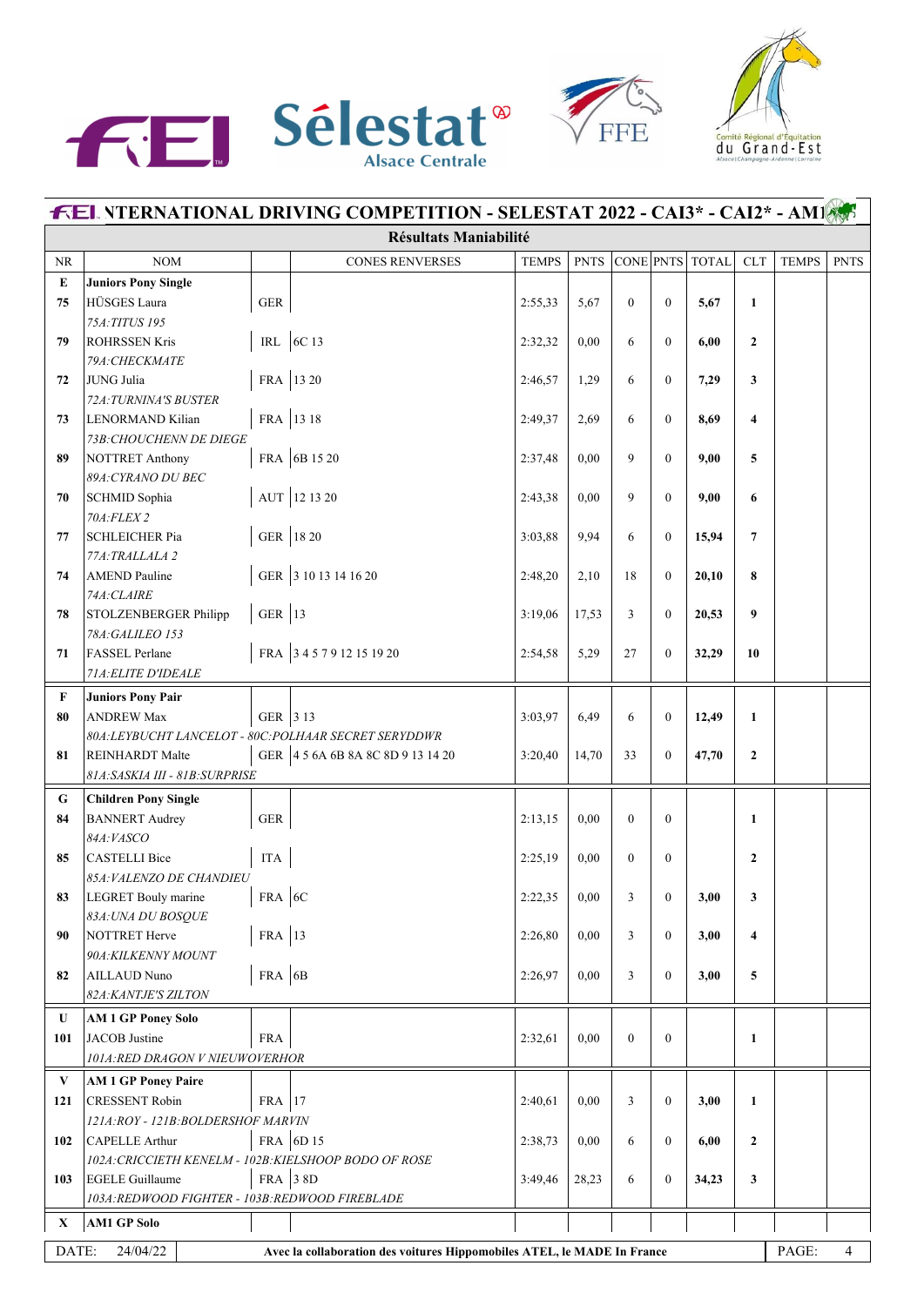





| <b>FEL YTERNATIONAL DRIVING COMPETITION - SELESTAT 2022 - CAI3* - CAI2* - AMI</b> |                                                                           |             |                                                                         |              |             |                |                  |                 |                         |              |             |  |
|-----------------------------------------------------------------------------------|---------------------------------------------------------------------------|-------------|-------------------------------------------------------------------------|--------------|-------------|----------------|------------------|-----------------|-------------------------|--------------|-------------|--|
|                                                                                   | <b>Résultats Maniabilité</b>                                              |             |                                                                         |              |             |                |                  |                 |                         |              |             |  |
| NR                                                                                | <b>NOM</b>                                                                |             | <b>CONES RENVERSES</b>                                                  | <b>TEMPS</b> | <b>PNTS</b> |                |                  | CONE PNTS TOTAL | <b>CLT</b>              | <b>TEMPS</b> | <b>PNTS</b> |  |
| ${\bf E}$                                                                         | <b>Juniors Pony Single</b>                                                |             |                                                                         |              |             |                |                  |                 |                         |              |             |  |
| 75                                                                                | HÜSGES Laura                                                              | <b>GER</b>  |                                                                         | 2:55,33      | 5,67        | $\theta$       | $\mathbf{0}$     | 5,67            | $\mathbf{1}$            |              |             |  |
|                                                                                   | 75A: TITUS 195                                                            |             |                                                                         |              |             |                |                  |                 |                         |              |             |  |
| 79                                                                                | <b>ROHRSSEN Kris</b>                                                      |             | IRL 6C 13                                                               | 2:32,32      | 0,00        | 6              | $\theta$         | 6,00            | $\overline{2}$          |              |             |  |
|                                                                                   | 79A: CHECKMATE                                                            |             |                                                                         |              |             |                |                  |                 |                         |              |             |  |
| 72                                                                                | JUNG Julia                                                                |             | FRA 13 20                                                               | 2:46,57      | 1,29        | 6              | $\mathbf{0}$     | 7,29            | 3                       |              |             |  |
| 73                                                                                | 72A: TURNINA'S BUSTER<br>LENORMAND Kilian                                 | FRA 13 18   |                                                                         | 2:49,37      | 2,69        | 6              | $\Omega$         | 8,69            | $\overline{\mathbf{4}}$ |              |             |  |
|                                                                                   | 73B: CHOUCHENN DE DIEGE                                                   |             |                                                                         |              |             |                |                  |                 |                         |              |             |  |
| 89                                                                                | NOTTRET Anthony                                                           |             | FRA 6B 15 20                                                            | 2:37,48      | 0.00        | 9              | $\overline{0}$   | 9,00            | 5                       |              |             |  |
|                                                                                   | 89A: CYRANO DU BEC                                                        |             |                                                                         |              |             |                |                  |                 |                         |              |             |  |
| 70                                                                                | SCHMID Sophia                                                             |             | AUT 12 13 20                                                            | 2:43,38      | 0.00        | 9              | $\overline{0}$   | 9,00            | 6                       |              |             |  |
|                                                                                   | 70A: FLEX 2                                                               |             |                                                                         |              |             |                |                  |                 |                         |              |             |  |
| 77                                                                                | <b>SCHLEICHER Pia</b>                                                     |             | GER 18 20                                                               | 3:03,88      | 9,94        | 6              | $\Omega$         | 15,94           | 7                       |              |             |  |
|                                                                                   | 77A: TRALLALA 2                                                           |             |                                                                         |              |             |                |                  |                 |                         |              |             |  |
| 74                                                                                | <b>AMEND</b> Pauline                                                      |             | GER 3 10 13 14 16 20                                                    | 2:48,20      | 2,10        | 18             | $\Omega$         | 20,10           | 8                       |              |             |  |
|                                                                                   | 74A: CLAIRE                                                               |             |                                                                         |              |             |                |                  |                 |                         |              |             |  |
| 78                                                                                | STOLZENBERGER Philipp                                                     | GER $ 13$   |                                                                         | 3:19,06      | 17,53       | 3              | $\mathbf{0}$     | 20,53           | 9                       |              |             |  |
|                                                                                   | 78A: GALILEO 153                                                          |             |                                                                         |              |             |                |                  |                 |                         |              |             |  |
| 71                                                                                | FASSEL Perlane                                                            |             | FRA 3457912151920                                                       | 2:54,58      | 5,29        | 27             | $\overline{0}$   | 32,29           | 10                      |              |             |  |
|                                                                                   | 71A: ELITE D'IDEALE                                                       |             |                                                                         |              |             |                |                  |                 |                         |              |             |  |
| F                                                                                 | <b>Juniors Pony Pair</b>                                                  |             |                                                                         |              |             |                |                  |                 |                         |              |             |  |
| 80                                                                                | <b>ANDREW Max</b>                                                         | GER 3 13    |                                                                         | 3:03,97      | 6,49        | 6              | $\overline{0}$   | 12,49           | $\mathbf{1}$            |              |             |  |
|                                                                                   | 80A: LEYBUCHT LANCELOT - 80C: POLHAAR SECRET SERYDDWR                     |             |                                                                         |              |             |                |                  |                 |                         |              |             |  |
| 81                                                                                | <b>REINHARDT Malte</b><br>81A: SASKIA III - 81B: SURPRISE                 |             | GER 4 5 6A 6B 8A 8C 8D 9 13 14 20                                       | 3:20,40      | 14,70       | 33             | $\overline{0}$   | 47,70           | $\overline{2}$          |              |             |  |
|                                                                                   |                                                                           |             |                                                                         |              |             |                |                  |                 |                         |              |             |  |
| G                                                                                 | <b>Children Pony Single</b>                                               |             |                                                                         |              |             |                |                  |                 |                         |              |             |  |
| 84                                                                                | <b>BANNERT</b> Audrey<br>84A: VASCO                                       | ${\tt GER}$ |                                                                         | 2:13,15      | 0,00        | $\theta$       | $\theta$         |                 | $\mathbf{1}$            |              |             |  |
| 85                                                                                | CASTELLI Bice                                                             | <b>ITA</b>  |                                                                         | 2:25,19      | 0,00        | $\theta$       | $\overline{0}$   |                 | $\mathbf{2}$            |              |             |  |
|                                                                                   | 85A: VALENZO DE CHANDIEU                                                  |             |                                                                         |              |             |                |                  |                 |                         |              |             |  |
| 83                                                                                | LEGRET Bouly marine                                                       | $FRA$ 6C    |                                                                         | 2:22,35      | 0,00        | 3              | $\overline{0}$   | 3,00            | 3                       |              |             |  |
|                                                                                   | 83A: UNA DU BOSQUE                                                        |             |                                                                         |              |             |                |                  |                 |                         |              |             |  |
| 90                                                                                | NOTTRET Herve                                                             | FRA 13      |                                                                         | 2:26,80      | 0.00        | 3              | $\mathbf{0}$     | 3,00            | 4                       |              |             |  |
|                                                                                   | 90A: KILKENNY MOUNT                                                       |             |                                                                         |              |             |                |                  |                 |                         |              |             |  |
| 82                                                                                | AILLAUD Nuno                                                              | $FRA$ $6B$  |                                                                         | 2:26,97      | 0.00        | 3              | $\boldsymbol{0}$ | 3,00            | 5                       |              |             |  |
|                                                                                   | 82A: KANTJE'S ZILTON                                                      |             |                                                                         |              |             |                |                  |                 |                         |              |             |  |
| U                                                                                 | <b>AM 1 GP Poney Solo</b>                                                 |             |                                                                         |              |             |                |                  |                 |                         |              |             |  |
| 101                                                                               | JACOB Justine                                                             | <b>FRA</b>  |                                                                         | 2:32,61      | 0.00        | $\overline{0}$ | $\mathbf{0}$     |                 | $\mathbf{1}$            |              |             |  |
|                                                                                   | 101A:RED DRAGON V NIEUWOVERHOR                                            |             |                                                                         |              |             |                |                  |                 |                         |              |             |  |
| V                                                                                 | <b>AM 1 GP Poney Paire</b>                                                |             |                                                                         |              |             |                |                  |                 |                         |              |             |  |
| 121                                                                               | <b>CRESSENT Robin</b>                                                     | FRA 17      |                                                                         | 2:40,61      | 0,00        | 3              | $\overline{0}$   | 3,00            | $\mathbf{1}$            |              |             |  |
|                                                                                   | 121A:ROY - 121B:BOLDERSHOF MARVIN                                         |             |                                                                         |              |             |                |                  |                 |                         |              |             |  |
| 102                                                                               | CAPELLE Arthur                                                            |             | FRA 6D 15                                                               | 2:38,73      | 0.00        | 6              | $\mathbf{0}$     | 6,00            | $\mathbf{2}$            |              |             |  |
|                                                                                   | 102A: CRICCIETH KENELM - 102B: KIELSHOOP BODO OF ROSE                     | FRA 38D     |                                                                         |              |             |                |                  |                 |                         |              |             |  |
| 103                                                                               | <b>EGELE Guillaume</b><br>103A: REDWOOD FIGHTER - 103B: REDWOOD FIREBLADE |             |                                                                         | 3:49,46      | 28,23       | 6              | $\boldsymbol{0}$ | 34,23           | 3                       |              |             |  |
|                                                                                   |                                                                           |             |                                                                         |              |             |                |                  |                 |                         |              |             |  |
| $\mathbf{X}$                                                                      | <b>AM1 GP Solo</b>                                                        |             |                                                                         |              |             |                |                  |                 |                         |              |             |  |
| DATE:                                                                             | 24/04/22                                                                  |             | Avec la collaboration des voitures Hippomobiles ATEL, le MADE In France |              |             |                |                  |                 |                         | PAGE:        | 4           |  |